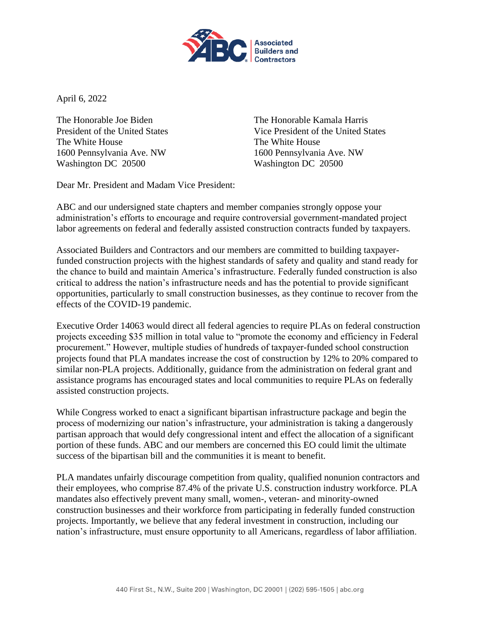

April 6, 2022

The White House The White House 1600 Pennsylvania Ave. NW 1600 Pennsylvania Ave. NW Washington DC 20500 Washington DC 20500

The Honorable Joe Biden The Honorable Kamala Harris President of the United States Vice President of the United States

Dear Mr. President and Madam Vice President:

ABC and our undersigned state chapters and member companies strongly oppose your administration's efforts to encourage and require controversial government-mandated project labor agreements on federal and federally assisted construction contracts funded by taxpayers.

Associated Builders and Contractors and our members are committed to building taxpayerfunded construction projects with the highest standards of safety and quality and stand ready for the chance to build and maintain America's infrastructure. Federally funded construction is also critical to address the nation's infrastructure needs and has the potential to provide significant opportunities, particularly to small construction businesses, as they continue to recover from the effects of the COVID-19 pandemic.

Executive Order 14063 would direct all federal agencies to require PLAs on federal construction projects exceeding \$35 million in total value to "promote the economy and efficiency in Federal procurement." However, multiple studies of hundreds of taxpayer-funded school construction projects found that PLA mandates increase the cost of construction by 12% to 20% compared to similar non-PLA projects. Additionally, guidance from the administration on federal grant and assistance programs has encouraged states and local communities to require PLAs on federally assisted construction projects.

While Congress worked to enact a significant bipartisan infrastructure package and begin the process of modernizing our nation's infrastructure, your administration is taking a dangerously partisan approach that would defy congressional intent and effect the allocation of a significant portion of these funds. ABC and our members are concerned this EO could limit the ultimate success of the bipartisan bill and the communities it is meant to benefit.

PLA mandates unfairly discourage competition from quality, qualified nonunion contractors and their employees, who comprise 87.4% of the private U.S. construction industry workforce. PLA mandates also effectively prevent many small, women-, veteran- and minority-owned construction businesses and their workforce from participating in federally funded construction projects. Importantly, we believe that any federal investment in construction, including our nation's infrastructure, must ensure opportunity to all Americans, regardless of labor affiliation.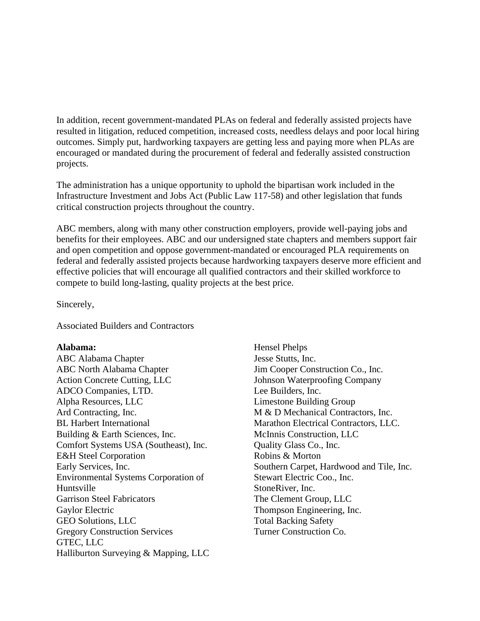In addition, recent government-mandated PLAs on federal and federally assisted projects have resulted in litigation, reduced competition, increased costs, needless delays and poor local hiring outcomes. Simply put, hardworking taxpayers are getting less and paying more when PLAs are encouraged or mandated during the procurement of federal and federally assisted construction projects.

The administration has a unique opportunity to uphold the bipartisan work included in the Infrastructure Investment and Jobs Act (Public Law 117-58) and other legislation that funds critical construction projects throughout the country.

ABC members, along with many other construction employers, provide well-paying jobs and benefits for their employees. ABC and our undersigned state chapters and members support fair and open competition and oppose government-mandated or encouraged PLA requirements on federal and federally assisted projects because hardworking taxpayers deserve more efficient and effective policies that will encourage all qualified contractors and their skilled workforce to compete to build long-lasting, quality projects at the best price.

Sincerely,

Associated Builders and Contractors

# **Alabama:**

ABC Alabama Chapter ABC North Alabama Chapter Action Concrete Cutting, LLC ADCO Companies, LTD. Alpha Resources, LLC Ard Contracting, Inc. BL Harbert International Building & Earth Sciences, Inc. Comfort Systems USA (Southeast), Inc. E&H Steel Corporation Early Services, Inc. Environmental Systems Corporation of Huntsville Garrison Steel Fabricators Gaylor Electric GEO Solutions, LLC Gregory Construction Services GTEC, LLC Halliburton Surveying & Mapping, LLC

Hensel Phelps Jesse Stutts, Inc. Jim Cooper Construction Co., Inc. Johnson Waterproofing Company Lee Builders, Inc. Limestone Building Group M & D Mechanical Contractors, Inc. Marathon Electrical Contractors, LLC. McInnis Construction, LLC Quality Glass Co., Inc. Robins & Morton Southern Carpet, Hardwood and Tile, Inc. Stewart Electric Coo., Inc. StoneRiver, Inc. The Clement Group, LLC Thompson Engineering, Inc. Total Backing Safety Turner Construction Co.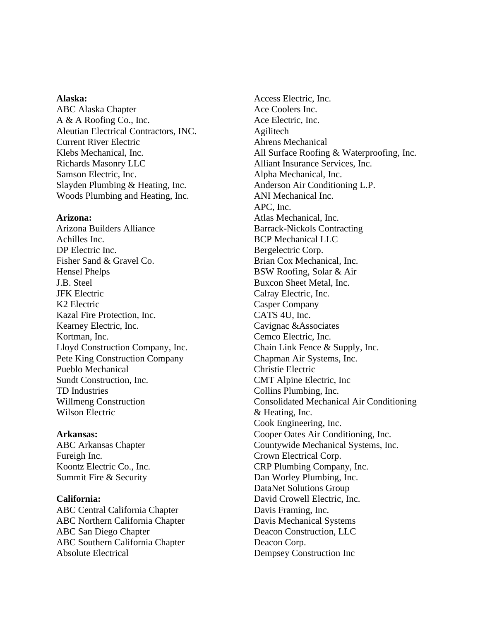## **Alaska:**

ABC Alaska Chapter A & A Roofing Co., Inc. Aleutian Electrical Contractors, INC. Current River Electric Klebs Mechanical, Inc. Richards Masonry LLC Samson Electric, Inc. Slayden Plumbing & Heating, Inc. Woods Plumbing and Heating, Inc.

#### **Arizona:**

Arizona Builders Alliance Achilles Inc. DP Electric Inc. Fisher Sand & Gravel Co. Hensel Phelps J.B. Steel JFK Electric K2 Electric Kazal Fire Protection, Inc. Kearney Electric, Inc. Kortman, Inc. Lloyd Construction Company, Inc. Pete King Construction Company Pueblo Mechanical Sundt Construction, Inc. TD Industries Willmeng Construction Wilson Electric

## **Arkansas:**

ABC Arkansas Chapter Fureigh Inc. Koontz Electric Co., Inc. Summit Fire & Security

#### **California:**

ABC Central California Chapter ABC Northern California Chapter ABC San Diego Chapter ABC Southern California Chapter Absolute Electrical

Access Electric, Inc. Ace Coolers Inc. Ace Electric, Inc. Agilitech Ahrens Mechanical All Surface Roofing & Waterproofing, Inc. Alliant Insurance Services, Inc. Alpha Mechanical, Inc. Anderson Air Conditioning L.P. ANI Mechanical Inc. APC, Inc. Atlas Mechanical, Inc. Barrack-Nickols Contracting BCP Mechanical LLC Bergelectric Corp. Brian Cox Mechanical, Inc. BSW Roofing, Solar & Air Buxcon Sheet Metal, Inc. Calray Electric, Inc. Casper Company CATS 4U, Inc. Cavignac &Associates Cemco Electric, Inc. Chain Link Fence & Supply, Inc. Chapman Air Systems, Inc. Christie Electric CMT Alpine Electric, Inc Collins Plumbing, Inc. Consolidated Mechanical Air Conditioning & Heating, Inc. Cook Engineering, Inc. Cooper Oates Air Conditioning, Inc. Countywide Mechanical Systems, Inc. Crown Electrical Corp. CRP Plumbing Company, Inc. Dan Worley Plumbing, Inc. DataNet Solutions Group David Crowell Electric, Inc. Davis Framing, Inc. Davis Mechanical Systems Deacon Construction, LLC Deacon Corp. Dempsey Construction Inc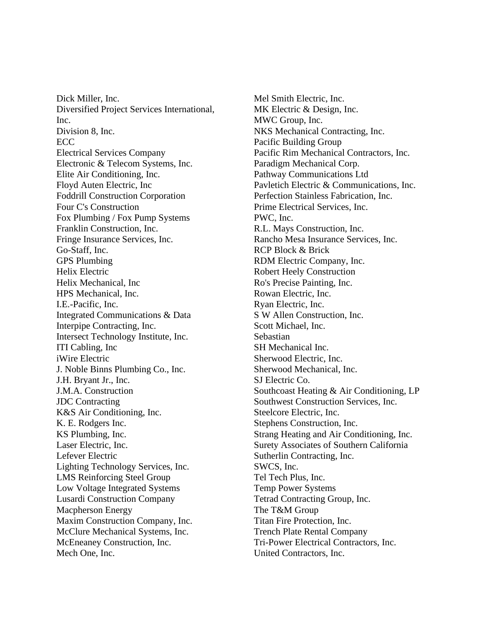Dick Miller, Inc. Diversified Project Services International, Inc. Division 8, Inc. ECC Electrical Services Company Electronic & Telecom Systems, Inc. Elite Air Conditioning, Inc. Floyd Auten Electric, Inc Foddrill Construction Corporation Four C's Construction Fox Plumbing / Fox Pump Systems Franklin Construction, Inc. Fringe Insurance Services, Inc. Go-Staff, Inc. GPS Plumbing Helix Electric Helix Mechanical, Inc HPS Mechanical, Inc. I.E.-Pacific, Inc. Integrated Communications & Data Interpipe Contracting, Inc. Intersect Technology Institute, Inc. ITI Cabling, Inc iWire Electric J. Noble Binns Plumbing Co., Inc. J.H. Bryant Jr., Inc. J.M.A. Construction JDC Contracting K&S Air Conditioning, Inc. K. E. Rodgers Inc. KS Plumbing, Inc. Laser Electric, Inc. Lefever Electric Lighting Technology Services, Inc. LMS Reinforcing Steel Group Low Voltage Integrated Systems Lusardi Construction Company Macpherson Energy Maxim Construction Company, Inc. McClure Mechanical Systems, Inc. McEneaney Construction, Inc. Mech One, Inc.

Mel Smith Electric, Inc. MK Electric & Design, Inc. MWC Group, Inc. NKS Mechanical Contracting, Inc. Pacific Building Group Pacific Rim Mechanical Contractors, Inc. Paradigm Mechanical Corp. Pathway Communications Ltd Pavletich Electric & Communications, Inc. Perfection Stainless Fabrication, Inc. Prime Electrical Services, Inc. PWC, Inc. R.L. Mays Construction, Inc. Rancho Mesa Insurance Services, Inc. RCP Block & Brick RDM Electric Company, Inc. Robert Heely Construction Ro's Precise Painting, Inc. Rowan Electric, Inc. Ryan Electric, Inc. S W Allen Construction, Inc. Scott Michael, Inc. Sebastian SH Mechanical Inc. Sherwood Electric, Inc. Sherwood Mechanical, Inc. SJ Electric Co. Southcoast Heating & Air Conditioning, LP Southwest Construction Services, Inc. Steelcore Electric, Inc. Stephens Construction, Inc. Strang Heating and Air Conditioning, Inc. Surety Associates of Southern California Sutherlin Contracting, Inc. SWCS, Inc. Tel Tech Plus, Inc. Temp Power Systems Tetrad Contracting Group, Inc. The T&M Group Titan Fire Protection, Inc. Trench Plate Rental Company Tri-Power Electrical Contractors, Inc. United Contractors, Inc.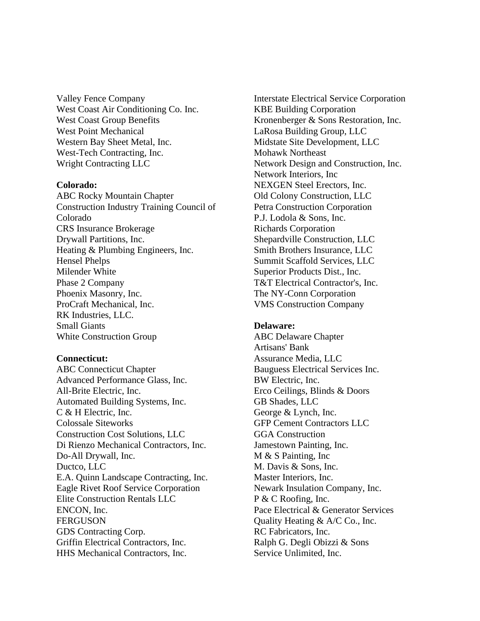Valley Fence Company West Coast Air Conditioning Co. Inc. West Coast Group Benefits West Point Mechanical Western Bay Sheet Metal, Inc. West-Tech Contracting, Inc. Wright Contracting LLC

# **Colorado:**

ABC Rocky Mountain Chapter Construction Industry Training Council of Colorado CRS Insurance Brokerage Drywall Partitions, Inc. Heating & Plumbing Engineers, Inc. Hensel Phelps Milender White Phase 2 Company Phoenix Masonry, Inc. ProCraft Mechanical, Inc. RK Industries, LLC. Small Giants White Construction Group

#### **Connecticut:**

ABC Connecticut Chapter Advanced Performance Glass, Inc. All-Brite Electric, Inc. Automated Building Systems, Inc. C & H Electric, Inc. Colossale Siteworks Construction Cost Solutions, LLC Di Rienzo Mechanical Contractors, Inc. Do-All Drywall, Inc. Ductco, LLC E.A. Quinn Landscape Contracting, Inc. Eagle Rivet Roof Service Corporation Elite Construction Rentals LLC ENCON, Inc. FERGUSON GDS Contracting Corp. Griffin Electrical Contractors, Inc. HHS Mechanical Contractors, Inc.

Interstate Electrical Service Corporation KBE Building Corporation Kronenberger & Sons Restoration, Inc. LaRosa Building Group, LLC Midstate Site Development, LLC Mohawk Northeast Network Design and Construction, Inc. Network Interiors, Inc NEXGEN Steel Erectors, Inc. Old Colony Construction, LLC Petra Construction Corporation P.J. Lodola & Sons, Inc. Richards Corporation Shepardville Construction, LLC Smith Brothers Insurance, LLC Summit Scaffold Services, LLC Superior Products Dist., Inc. T&T Electrical Contractor's, Inc. The NY-Conn Corporation VMS Construction Company

#### **Delaware:**

ABC Delaware Chapter Artisans' Bank Assurance Media, LLC Bauguess Electrical Services Inc. BW Electric, Inc. Erco Ceilings, Blinds & Doors GB Shades, LLC George & Lynch, Inc. GFP Cement Contractors LLC GGA Construction Jamestown Painting, Inc. M & S Painting, Inc M. Davis & Sons, Inc. Master Interiors, Inc. Newark Insulation Company, Inc. P & C Roofing, Inc. Pace Electrical & Generator Services Quality Heating & A/C Co., Inc. RC Fabricators, Inc. Ralph G. Degli Obizzi & Sons Service Unlimited, Inc.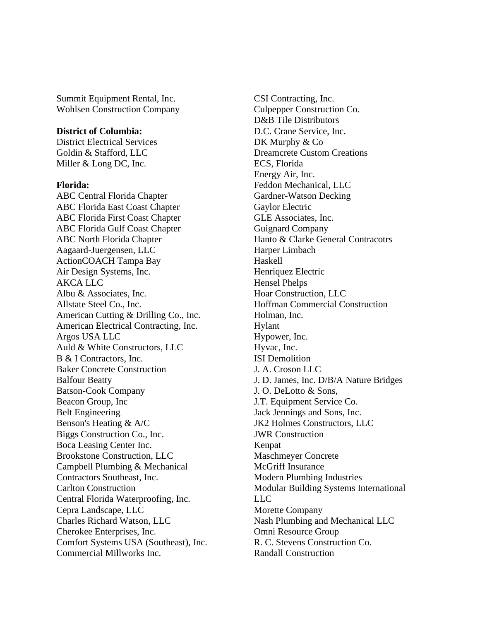Summit Equipment Rental, Inc. Wohlsen Construction Company

# **District of Columbia:**

District Electrical Services Goldin & Stafford, LLC Miller & Long DC, Inc.

# **Florida:**

ABC Central Florida Chapter ABC Florida East Coast Chapter ABC Florida First Coast Chapter ABC Florida Gulf Coast Chapter ABC North Florida Chapter Aagaard-Juergensen, LLC ActionCOACH Tampa Bay Air Design Systems, Inc. AKCA LLC Albu & Associates, Inc. Allstate Steel Co., Inc. American Cutting & Drilling Co., Inc. American Electrical Contracting, Inc. Argos USA LLC Auld & White Constructors, LLC B & I Contractors, Inc. Baker Concrete Construction Balfour Beatty Batson-Cook Company Beacon Group, Inc Belt Engineering Benson's Heating & A/C Biggs Construction Co., Inc. Boca Leasing Center Inc. Brookstone Construction, LLC Campbell Plumbing & Mechanical Contractors Southeast, Inc. Carlton Construction Central Florida Waterproofing, Inc. Cepra Landscape, LLC Charles Richard Watson, LLC Cherokee Enterprises, Inc. Comfort Systems USA (Southeast), Inc. Commercial Millworks Inc.

CSI Contracting, Inc. Culpepper Construction Co. D&B Tile Distributors D.C. Crane Service, Inc. DK Murphy & Co Dreamcrete Custom Creations ECS, Florida Energy Air, Inc. Feddon Mechanical, LLC Gardner-Watson Decking Gaylor Electric GLE Associates, Inc. Guignard Company Hanto & Clarke General Contracotrs Harper Limbach Haskell Henriquez Electric Hensel Phelps Hoar Construction, LLC Hoffman Commercial Construction Holman, Inc. Hylant Hypower, Inc. Hyvac, Inc. ISI Demolition J. A. Croson LLC J. D. James, Inc. D/B/A Nature Bridges J. O. DeLotto & Sons, J.T. Equipment Service Co. Jack Jennings and Sons, Inc. JK2 Holmes Constructors, LLC JWR Construction Kenpat Maschmeyer Concrete McGriff Insurance Modern Plumbing Industries Modular Building Systems International LLC Morette Company Nash Plumbing and Mechanical LLC Omni Resource Group R. C. Stevens Construction Co. Randall Construction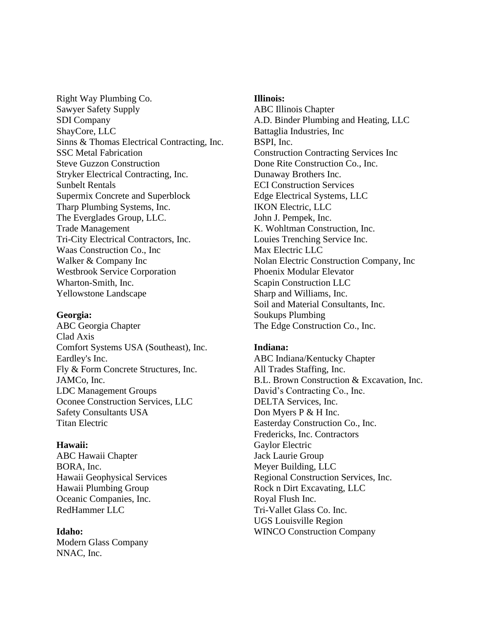Right Way Plumbing Co. Sawyer Safety Supply SDI Company ShayCore, LLC Sinns & Thomas Electrical Contracting, Inc. SSC Metal Fabrication Steve Guzzon Construction Stryker Electrical Contracting, Inc. Sunbelt Rentals Supermix Concrete and Superblock Tharp Plumbing Systems, Inc. The Everglades Group, LLC. Trade Management Tri-City Electrical Contractors, Inc. Waas Construction Co., Inc Walker & Company Inc Westbrook Service Corporation Wharton-Smith, Inc. Yellowstone Landscape

### **Georgia:**

ABC Georgia Chapter Clad Axis Comfort Systems USA (Southeast), Inc. Eardley's Inc. Fly & Form Concrete Structures, Inc. JAMCo, Inc. LDC Management Groups Oconee Construction Services, LLC Safety Consultants USA Titan Electric

#### **Hawaii:**

ABC Hawaii Chapter BORA, Inc. Hawaii Geophysical Services Hawaii Plumbing Group Oceanic Companies, Inc. RedHammer LLC

#### **Idaho:**

Modern Glass Company NNAC, Inc.

## **Illinois:**

ABC Illinois Chapter A.D. Binder Plumbing and Heating, LLC Battaglia Industries, Inc BSPI, Inc. Construction Contracting Services Inc Done Rite Construction Co., Inc. Dunaway Brothers Inc. ECI Construction Services Edge Electrical Systems, LLC IKON Electric, LLC John J. Pempek, Inc. K. Wohltman Construction, Inc. Louies Trenching Service Inc. Max Electric LLC Nolan Electric Construction Company, Inc Phoenix Modular Elevator Scapin Construction LLC Sharp and Williams, Inc. Soil and Material Consultants, Inc. Soukups Plumbing The Edge Construction Co., Inc.

# **Indiana:**

ABC Indiana/Kentucky Chapter All Trades Staffing, Inc. B.L. Brown Construction & Excavation, Inc. David's Contracting Co., Inc. DELTA Services, Inc. Don Myers P & H Inc. Easterday Construction Co., Inc. Fredericks, Inc. Contractors Gaylor Electric Jack Laurie Group Meyer Building, LLC Regional Construction Services, Inc. Rock n Dirt Excavating, LLC Royal Flush Inc. Tri-Vallet Glass Co. Inc. UGS Louisville Region WINCO Construction Company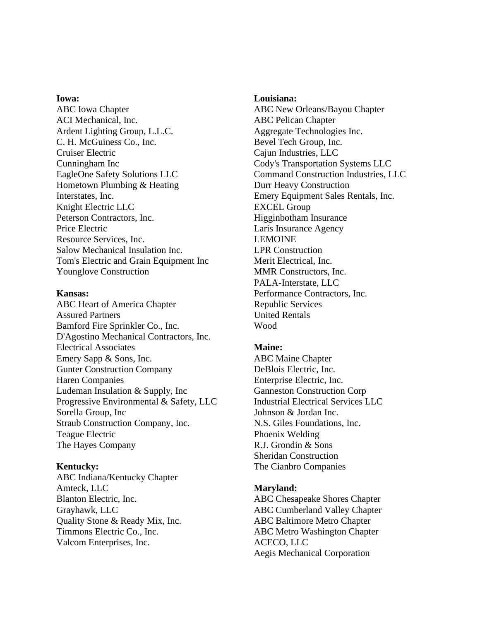## **Iowa:**

ABC Iowa Chapter ACI Mechanical, Inc. Ardent Lighting Group, L.L.C. C. H. McGuiness Co., Inc. Cruiser Electric Cunningham Inc EagleOne Safety Solutions LLC Hometown Plumbing & Heating Interstates, Inc. Knight Electric LLC Peterson Contractors, Inc. Price Electric Resource Services, Inc. Salow Mechanical Insulation Inc. Tom's Electric and Grain Equipment Inc Younglove Construction

# **Kansas:**

ABC Heart of America Chapter Assured Partners Bamford Fire Sprinkler Co., Inc. D'Agostino Mechanical Contractors, Inc. Electrical Associates Emery Sapp & Sons, Inc. Gunter Construction Company Haren Companies Ludeman Insulation & Supply, Inc Progressive Environmental & Safety, LLC Sorella Group, Inc Straub Construction Company, Inc. Teague Electric The Hayes Company

# **Kentucky:**

ABC Indiana/Kentucky Chapter Amteck, LLC Blanton Electric, Inc. Grayhawk, LLC Quality Stone & Ready Mix, Inc. Timmons Electric Co., Inc. Valcom Enterprises, Inc.

## **Louisiana:**

ABC New Orleans/Bayou Chapter ABC Pelican Chapter Aggregate Technologies Inc. Bevel Tech Group, Inc. Cajun Industries, LLC Cody's Transportation Systems LLC Command Construction Industries, LLC Durr Heavy Construction Emery Equipment Sales Rentals, Inc. EXCEL Group Higginbotham Insurance Laris Insurance Agency LEMOINE LPR Construction Merit Electrical, Inc. MMR Constructors, Inc. PALA-Interstate, LLC Performance Contractors, Inc. Republic Services United Rentals Wood

# **Maine:**

ABC Maine Chapter DeBlois Electric, Inc. Enterprise Electric, Inc. Ganneston Construction Corp Industrial Electrical Services LLC Johnson & Jordan Inc. N.S. Giles Foundations, Inc. Phoenix Welding R.J. Grondin & Sons Sheridan Construction The Cianbro Companies

# **Maryland:**

ABC Chesapeake Shores Chapter ABC Cumberland Valley Chapter ABC Baltimore Metro Chapter ABC Metro Washington Chapter ACECO, LLC Aegis Mechanical Corporation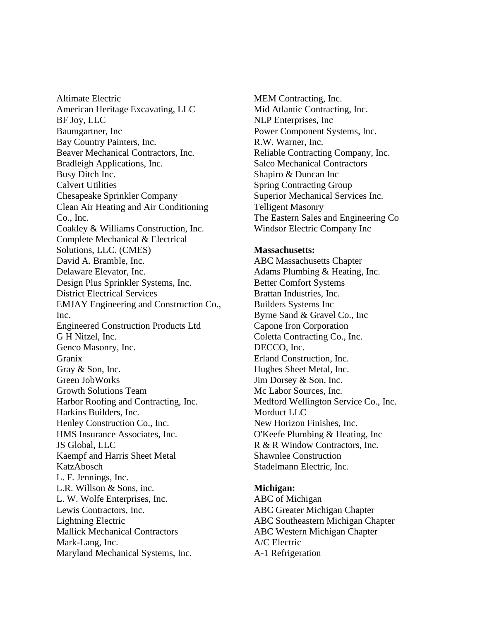Altimate Electric American Heritage Excavating, LLC BF Joy, LLC Baumgartner, Inc Bay Country Painters, Inc. Beaver Mechanical Contractors, Inc. Bradleigh Applications, Inc. Busy Ditch Inc. Calvert Utilities Chesapeake Sprinkler Company Clean Air Heating and Air Conditioning Co., Inc. Coakley & Williams Construction, Inc. Complete Mechanical & Electrical Solutions, LLC. (CMES) David A. Bramble, Inc. Delaware Elevator, Inc. Design Plus Sprinkler Systems, Inc. District Electrical Services EMJAY Engineering and Construction Co., Inc. Engineered Construction Products Ltd G H Nitzel, Inc. Genco Masonry, Inc. Granix Gray & Son, Inc. Green JobWorks Growth Solutions Team Harbor Roofing and Contracting, Inc. Harkins Builders, Inc. Henley Construction Co., Inc. HMS Insurance Associates, Inc. JS Global, LLC Kaempf and Harris Sheet Metal KatzAbosch L. F. Jennings, Inc. L.R. Willson & Sons, inc. L. W. Wolfe Enterprises, Inc. Lewis Contractors, Inc. Lightning Electric Mallick Mechanical Contractors Mark-Lang, Inc. Maryland Mechanical Systems, Inc.

MEM Contracting, Inc. Mid Atlantic Contracting, Inc. NLP Enterprises, Inc Power Component Systems, Inc. R.W. Warner, Inc. Reliable Contracting Company, Inc. Salco Mechanical Contractors Shapiro & Duncan Inc Spring Contracting Group Superior Mechanical Services Inc. Telligent Masonry The Eastern Sales and Engineering Co Windsor Electric Company Inc

## **Massachusetts:**

ABC Massachusetts Chapter Adams Plumbing & Heating, Inc. Better Comfort Systems Brattan Industries, Inc. Builders Systems Inc Byrne Sand & Gravel Co., Inc Capone Iron Corporation Coletta Contracting Co., Inc. DECCO, Inc. Erland Construction, Inc. Hughes Sheet Metal, Inc. Jim Dorsey & Son, Inc. Mc Labor Sources, Inc. Medford Wellington Service Co., Inc. Morduct LLC New Horizon Finishes, Inc. O'Keefe Plumbing & Heating, Inc R & R Window Contractors, Inc. Shawnlee Construction Stadelmann Electric, Inc.

# **Michigan:**

ABC of Michigan ABC Greater Michigan Chapter ABC Southeastern Michigan Chapter ABC Western Michigan Chapter A/C Electric A-1 Refrigeration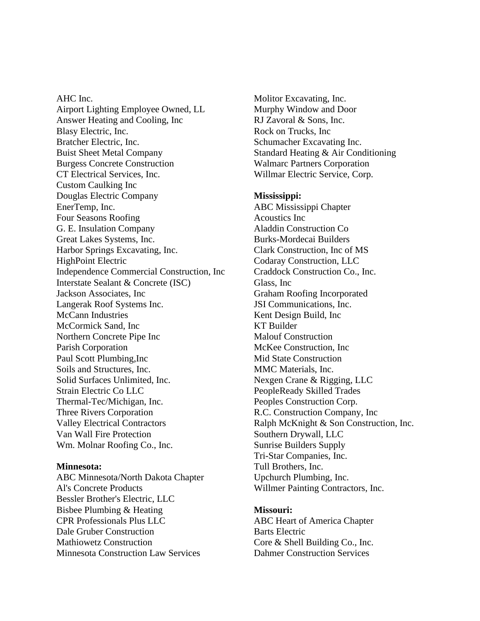AHC Inc. Airport Lighting Employee Owned, LL Answer Heating and Cooling, Inc Blasy Electric, Inc. Bratcher Electric, Inc. Buist Sheet Metal Company Burgess Concrete Construction CT Electrical Services, Inc. Custom Caulking Inc Douglas Electric Company EnerTemp, Inc. Four Seasons Roofing G. E. Insulation Company Great Lakes Systems, Inc. Harbor Springs Excavating, Inc. HighPoint Electric Independence Commercial Construction, Inc Interstate Sealant & Concrete (ISC) Jackson Associates, Inc Langerak Roof Systems Inc. McCann Industries McCormick Sand, Inc Northern Concrete Pipe Inc Parish Corporation Paul Scott Plumbing,Inc Soils and Structures, Inc. Solid Surfaces Unlimited, Inc. Strain Electric Co LLC Thermal-Tec/Michigan, Inc. Three Rivers Corporation Valley Electrical Contractors Van Wall Fire Protection Wm. Molnar Roofing Co., Inc.

# **Minnesota:**

ABC Minnesota/North Dakota Chapter Al's Concrete Products Bessler Brother's Electric, LLC Bisbee Plumbing & Heating CPR Professionals Plus LLC Dale Gruber Construction Mathiowetz Construction Minnesota Construction Law Services

Molitor Excavating, Inc. Murphy Window and Door RJ Zavoral & Sons, Inc. Rock on Trucks, Inc Schumacher Excavating Inc. Standard Heating & Air Conditioning Walmarc Partners Corporation Willmar Electric Service, Corp.

# **Mississippi:**

ABC Mississippi Chapter Acoustics Inc Aladdin Construction Co Burks-Mordecai Builders Clark Construction, Inc of MS Codaray Construction, LLC Craddock Construction Co., Inc. Glass, Inc Graham Roofing Incorporated JSI Communications, Inc. Kent Design Build, Inc KT Builder Malouf Construction McKee Construction, Inc Mid State Construction MMC Materials, Inc. Nexgen Crane & Rigging, LLC PeopleReady Skilled Trades Peoples Construction Corp. R.C. Construction Company, Inc Ralph McKnight & Son Construction, Inc. Southern Drywall, LLC Sunrise Builders Supply Tri-Star Companies, Inc. Tull Brothers, Inc. Upchurch Plumbing, Inc. Willmer Painting Contractors, Inc.

## **Missouri:**

ABC Heart of America Chapter Barts Electric Core & Shell Building Co., Inc. Dahmer Construction Services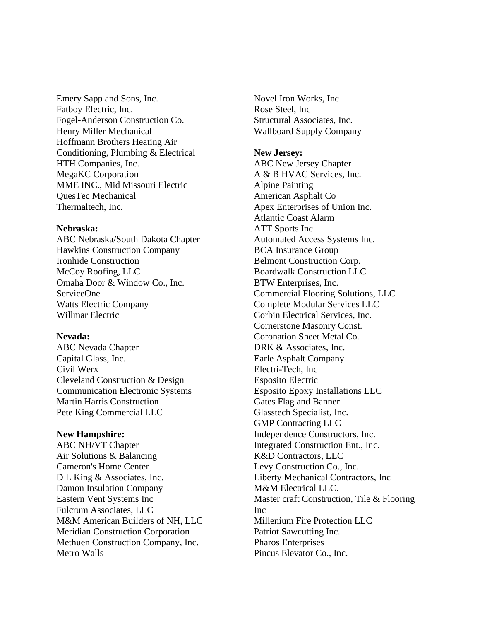Emery Sapp and Sons, Inc. Fatboy Electric, Inc. Fogel-Anderson Construction Co. Henry Miller Mechanical Hoffmann Brothers Heating Air Conditioning, Plumbing & Electrical HTH Companies, Inc. MegaKC Corporation MME INC., Mid Missouri Electric QuesTec Mechanical Thermaltech, Inc.

## **Nebraska:**

ABC Nebraska/South Dakota Chapter Hawkins Construction Company Ironhide Construction McCoy Roofing, LLC Omaha Door & Window Co., Inc. ServiceOne Watts Electric Company Willmar Electric

# **Nevada:**

ABC Nevada Chapter Capital Glass, Inc. Civil Werx Cleveland Construction & Design Communication Electronic Systems Martin Harris Construction Pete King Commercial LLC

# **New Hampshire:**

ABC NH/VT Chapter Air Solutions & Balancing Cameron's Home Center D L King & Associates, Inc. Damon Insulation Company Eastern Vent Systems Inc Fulcrum Associates, LLC M&M American Builders of NH, LLC Meridian Construction Corporation Methuen Construction Company, Inc. Metro Walls

Novel Iron Works, Inc Rose Steel, Inc Structural Associates, Inc. Wallboard Supply Company

## **New Jersey:**

ABC New Jersey Chapter A & B HVAC Services, Inc. Alpine Painting American Asphalt Co Apex Enterprises of Union Inc. Atlantic Coast Alarm ATT Sports Inc. Automated Access Systems Inc. BCA Insurance Group Belmont Construction Corp. Boardwalk Construction LLC BTW Enterprises, Inc. Commercial Flooring Solutions, LLC Complete Modular Services LLC Corbin Electrical Services, Inc. Cornerstone Masonry Const. Coronation Sheet Metal Co. DRK & Associates, Inc. Earle Asphalt Company Electri-Tech, Inc Esposito Electric Esposito Epoxy Installations LLC Gates Flag and Banner Glasstech Specialist, Inc. GMP Contracting LLC Independence Constructors, Inc. Integrated Construction Ent., Inc. K&D Contractors, LLC Levy Construction Co., Inc. Liberty Mechanical Contractors, Inc M&M Electrical LLC. Master craft Construction, Tile & Flooring Inc Millenium Fire Protection LLC Patriot Sawcutting Inc. Pharos Enterprises Pincus Elevator Co., Inc.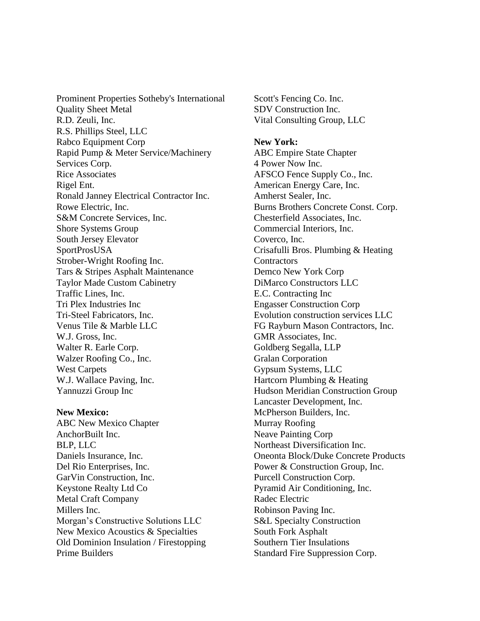Prominent Properties Sotheby's International Quality Sheet Metal R.D. Zeuli, Inc. R.S. Phillips Steel, LLC Rabco Equipment Corp Rapid Pump & Meter Service/Machinery Services Corp. Rice Associates Rigel Ent. Ronald Janney Electrical Contractor Inc. Rowe Electric, Inc. S&M Concrete Services, Inc. Shore Systems Group South Jersey Elevator SportProsUSA Strober-Wright Roofing Inc. Tars & Stripes Asphalt Maintenance Taylor Made Custom Cabinetry Traffic Lines, Inc. Tri Plex Industries Inc Tri-Steel Fabricators, Inc. Venus Tile & Marble LLC W.J. Gross, Inc. Walter R. Earle Corp. Walzer Roofing Co., Inc. West Carpets W.J. Wallace Paving, Inc. Yannuzzi Group Inc

#### **New Mexico:**

ABC New Mexico Chapter AnchorBuilt Inc. BLP, LLC Daniels Insurance, Inc. Del Rio Enterprises, Inc. GarVin Construction, Inc. Keystone Realty Ltd Co Metal Craft Company Millers Inc. Morgan's Constructive Solutions LLC New Mexico Acoustics & Specialties Old Dominion Insulation / Firestopping Prime Builders

Scott's Fencing Co. Inc. SDV Construction Inc. Vital Consulting Group, LLC

**New York:** ABC Empire State Chapter 4 Power Now Inc. AFSCO Fence Supply Co., Inc. American Energy Care, Inc. Amherst Sealer, Inc. Burns Brothers Concrete Const. Corp. Chesterfield Associates, Inc. Commercial Interiors, Inc. Coverco, Inc. Crisafulli Bros. Plumbing & Heating **Contractors** Demco New York Corp DiMarco Constructors LLC E.C. Contracting Inc Engasser Construction Corp Evolution construction services LLC FG Rayburn Mason Contractors, Inc. GMR Associates, Inc. Goldberg Segalla, LLP Gralan Corporation Gypsum Systems, LLC Hartcorn Plumbing & Heating Hudson Meridian Construction Group Lancaster Development, Inc. McPherson Builders, Inc. Murray Roofing Neave Painting Corp Northeast Diversification Inc. Oneonta Block/Duke Concrete Products Power & Construction Group, Inc. Purcell Construction Corp. Pyramid Air Conditioning, Inc. Radec Electric Robinson Paving Inc. S&L Specialty Construction South Fork Asphalt Southern Tier Insulations Standard Fire Suppression Corp.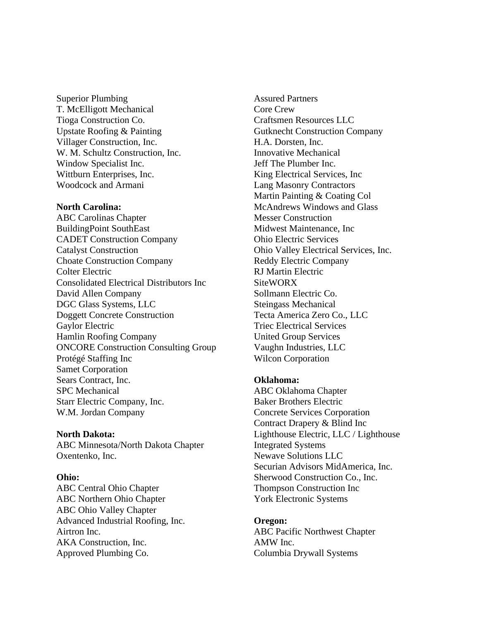Superior Plumbing T. McElligott Mechanical Tioga Construction Co. Upstate Roofing & Painting Villager Construction, Inc. W. M. Schultz Construction, Inc. Window Specialist Inc. Wittburn Enterprises, Inc. Woodcock and Armani

## **North Carolina:**

ABC Carolinas Chapter BuildingPoint SouthEast CADET Construction Company Catalyst Construction Choate Construction Company Colter Electric Consolidated Electrical Distributors Inc David Allen Company DGC Glass Systems, LLC Doggett Concrete Construction Gaylor Electric Hamlin Roofing Company ONCORE Construction Consulting Group Protégé Staffing Inc Samet Corporation Sears Contract, Inc. SPC Mechanical Starr Electric Company, Inc. W.M. Jordan Company

#### **North Dakota:**

ABC Minnesota/North Dakota Chapter Oxentenko, Inc.

#### **Ohio:**

ABC Central Ohio Chapter ABC Northern Ohio Chapter ABC Ohio Valley Chapter Advanced Industrial Roofing, Inc. Airtron Inc. AKA Construction, Inc. Approved Plumbing Co.

Assured Partners Core Crew Craftsmen Resources LLC Gutknecht Construction Company H.A. Dorsten, Inc. Innovative Mechanical Jeff The Plumber Inc. King Electrical Services, Inc Lang Masonry Contractors Martin Painting & Coating Col McAndrews Windows and Glass Messer Construction Midwest Maintenance, Inc Ohio Electric Services Ohio Valley Electrical Services, Inc. Reddy Electric Company RJ Martin Electric **SiteWORX** Sollmann Electric Co. Steingass Mechanical Tecta America Zero Co., LLC Triec Electrical Services United Group Services Vaughn Industries, LLC Wilcon Corporation

## **Oklahoma:**

ABC Oklahoma Chapter Baker Brothers Electric Concrete Services Corporation Contract Drapery & Blind Inc Lighthouse Electric, LLC / Lighthouse Integrated Systems Newave Solutions LLC Securian Advisors MidAmerica, Inc. Sherwood Construction Co., Inc. Thompson Construction Inc York Electronic Systems

# **Oregon:**

ABC Pacific Northwest Chapter AMW Inc. Columbia Drywall Systems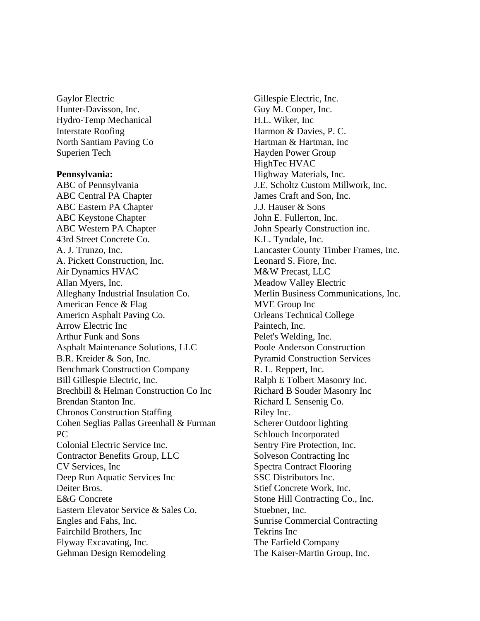Gaylor Electric Hunter-Davisson, Inc. Hydro-Temp Mechanical Interstate Roofing North Santiam Paving Co Superien Tech

## **Pennsylvania:**

ABC of Pennsylvania ABC Central PA Chapter ABC Eastern PA Chapter ABC Keystone Chapter ABC Western PA Chapter 43rd Street Concrete Co. A. J. Trunzo, Inc. A. Pickett Construction, Inc. Air Dynamics HVAC Allan Myers, Inc. Alleghany Industrial Insulation Co. American Fence & Flag Americn Asphalt Paving Co. Arrow Electric Inc Arthur Funk and Sons Asphalt Maintenance Solutions, LLC B.R. Kreider & Son, Inc. Benchmark Construction Company Bill Gillespie Electric, Inc. Brechbill & Helman Construction Co Inc Brendan Stanton Inc. Chronos Construction Staffing Cohen Seglias Pallas Greenhall & Furman PC Colonial Electric Service Inc. Contractor Benefits Group, LLC CV Services, Inc Deep Run Aquatic Services Inc Deiter Bros. E&G Concrete Eastern Elevator Service & Sales Co. Engles and Fahs, Inc. Fairchild Brothers, Inc Flyway Excavating, Inc. Gehman Design Remodeling

Gillespie Electric, Inc. Guy M. Cooper, Inc. H.L. Wiker, Inc Harmon & Davies, P. C. Hartman & Hartman, Inc Hayden Power Group HighTec HVAC Highway Materials, Inc. J.E. Scholtz Custom Millwork, Inc. James Craft and Son, Inc. J.J. Hauser & Sons John E. Fullerton, Inc. John Spearly Construction inc. K.L. Tyndale, Inc. Lancaster County Timber Frames, Inc. Leonard S. Fiore, Inc. M&W Precast, LLC Meadow Valley Electric Merlin Business Communications, Inc. MVE Group Inc Orleans Technical College Paintech, Inc. Pelet's Welding, Inc. Poole Anderson Construction Pyramid Construction Services R. L. Reppert, Inc. Ralph E Tolbert Masonry Inc. Richard B Souder Masonry Inc Richard L Sensenig Co. Riley Inc. Scherer Outdoor lighting Schlouch Incorporated Sentry Fire Protection, Inc. Solveson Contracting Inc Spectra Contract Flooring SSC Distributors Inc. Stief Concrete Work, Inc. Stone Hill Contracting Co., Inc. Stuebner, Inc. Sunrise Commercial Contracting Tekrins Inc The Farfield Company The Kaiser-Martin Group, Inc.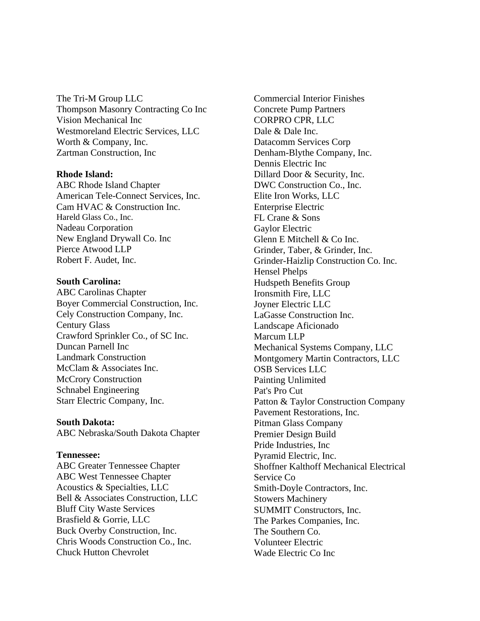The Tri-M Group LLC Thompson Masonry Contracting Co Inc Vision Mechanical Inc Westmoreland Electric Services, LLC Worth & Company, Inc. Zartman Construction, Inc

## **Rhode Island:**

ABC Rhode Island Chapter American Tele-Connect Services, Inc. Cam HVAC & Construction Inc. Hareld Glass Co., Inc. Nadeau Corporation New England Drywall Co. Inc Pierce Atwood LLP Robert F. Audet, Inc.

# **South Carolina:**

ABC Carolinas Chapter Boyer Commercial Construction, Inc. Cely Construction Company, Inc. Century Glass Crawford Sprinkler Co., of SC Inc. Duncan Parnell Inc Landmark Construction McClam & Associates Inc. McCrory Construction Schnabel Engineering Starr Electric Company, Inc.

# **South Dakota:**

ABC Nebraska/South Dakota Chapter

#### **Tennessee:**

ABC Greater Tennessee Chapter ABC West Tennessee Chapter Acoustics & Specialties, LLC Bell & Associates Construction, LLC Bluff City Waste Services Brasfield & Gorrie, LLC Buck Overby Construction, Inc. Chris Woods Construction Co., Inc. Chuck Hutton Chevrolet

Commercial Interior Finishes Concrete Pump Partners CORPRO CPR, LLC Dale & Dale Inc. Datacomm Services Corp Denham-Blythe Company, Inc. Dennis Electric Inc Dillard Door & Security, Inc. DWC Construction Co., Inc. Elite Iron Works, LLC Enterprise Electric FL Crane & Sons Gaylor Electric Glenn E Mitchell & Co Inc. Grinder, Taber, & Grinder, Inc. Grinder-Haizlip Construction Co. Inc. Hensel Phelps Hudspeth Benefits Group Ironsmith Fire, LLC Joyner Electric LLC LaGasse Construction Inc. Landscape Aficionado Marcum LLP Mechanical Systems Company, LLC Montgomery Martin Contractors, LLC OSB Services LLC Painting Unlimited Pat's Pro Cut Patton & Taylor Construction Company Pavement Restorations, Inc. Pitman Glass Company Premier Design Build Pride Industries, Inc Pyramid Electric, Inc. Shoffner Kalthoff Mechanical Electrical Service Co Smith-Doyle Contractors, Inc. Stowers Machinery SUMMIT Constructors, Inc. The Parkes Companies, Inc. The Southern Co. Volunteer Electric Wade Electric Co Inc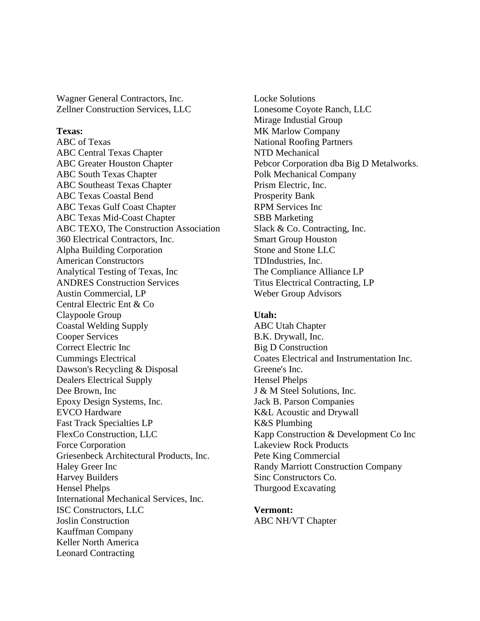Wagner General Contractors, Inc. Zellner Construction Services, LLC

# **Texas:**

ABC of Texas ABC Central Texas Chapter ABC Greater Houston Chapter ABC South Texas Chapter ABC Southeast Texas Chapter ABC Texas Coastal Bend ABC Texas Gulf Coast Chapter ABC Texas Mid-Coast Chapter ABC TEXO, The Construction Association 360 Electrical Contractors, Inc. Alpha Building Corporation American Constructors Analytical Testing of Texas, Inc ANDRES Construction Services Austin Commercial, LP Central Electric Ent & Co Claypoole Group Coastal Welding Supply Cooper Services Correct Electric Inc Cummings Electrical Dawson's Recycling & Disposal Dealers Electrical Supply Dee Brown, Inc Epoxy Design Systems, Inc. EVCO Hardware Fast Track Specialties LP FlexCo Construction, LLC Force Corporation Griesenbeck Architectural Products, Inc. Haley Greer Inc Harvey Builders Hensel Phelps International Mechanical Services, Inc. ISC Constructors, LLC Joslin Construction Kauffman Company Keller North America Leonard Contracting

Locke Solutions Lonesome Coyote Ranch, LLC Mirage Industial Group MK Marlow Company National Roofing Partners NTD Mechanical Pebcor Corporation dba Big D Metalworks. Polk Mechanical Company Prism Electric, Inc. Prosperity Bank RPM Services Inc SBB Marketing Slack & Co. Contracting, Inc. Smart Group Houston Stone and Stone LLC TDIndustries, Inc. The Compliance Alliance LP Titus Electrical Contracting, LP Weber Group Advisors

#### **Utah:**

ABC Utah Chapter B.K. Drywall, Inc. Big D Construction Coates Electrical and Instrumentation Inc. Greene's Inc. Hensel Phelps J & M Steel Solutions, Inc. Jack B. Parson Companies K&L Acoustic and Drywall K&S Plumbing Kapp Construction & Development Co Inc Lakeview Rock Products Pete King Commercial Randy Marriott Construction Company Sinc Constructors Co. Thurgood Excavating

**Vermont:** ABC NH/VT Chapter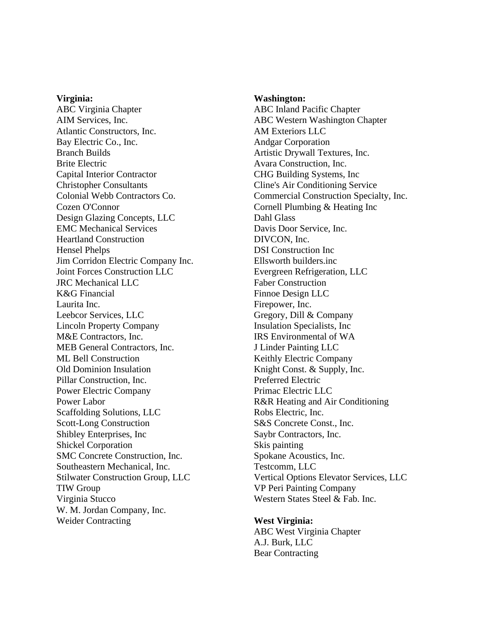#### **Virginia:**

ABC Virginia Chapter AIM Services, Inc. Atlantic Constructors, Inc. Bay Electric Co., Inc. Branch Builds Brite Electric Capital Interior Contractor Christopher Consultants Colonial Webb Contractors Co. Cozen O'Connor Design Glazing Concepts, LLC EMC Mechanical Services Heartland Construction Hensel Phelps Jim Corridon Electric Company Inc. Joint Forces Construction LLC JRC Mechanical LLC K&G Financial Laurita Inc. Leebcor Services, LLC Lincoln Property Company M&E Contractors, Inc. MEB General Contractors, Inc. ML Bell Construction Old Dominion Insulation Pillar Construction, Inc. Power Electric Company Power Labor Scaffolding Solutions, LLC Scott-Long Construction Shibley Enterprises, Inc Shickel Corporation SMC Concrete Construction, Inc. Southeastern Mechanical, Inc. Stilwater Construction Group, LLC TIW Group Virginia Stucco W. M. Jordan Company, Inc. Weider Contracting

#### **Washington:**

ABC Inland Pacific Chapter ABC Western Washington Chapter AM Exteriors LLC Andgar Corporation Artistic Drywall Textures, Inc. Avara Construction, Inc. CHG Building Systems, Inc Cline's Air Conditioning Service Commercial Construction Specialty, Inc. Cornell Plumbing & Heating Inc Dahl Glass Davis Door Service, Inc. DIVCON, Inc. DSI Construction Inc Ellsworth builders.inc Evergreen Refrigeration, LLC Faber Construction Finnoe Design LLC Firepower, Inc. Gregory, Dill & Company Insulation Specialists, Inc IRS Environmental of WA J Linder Painting LLC Keithly Electric Company Knight Const. & Supply, Inc. Preferred Electric Primac Electric LLC R&R Heating and Air Conditioning Robs Electric, Inc. S&S Concrete Const., Inc. Saybr Contractors, Inc. Skis painting Spokane Acoustics, Inc. Testcomm, LLC Vertical Options Elevator Services, LLC VP Peri Painting Company Western States Steel & Fab. Inc.

**West Virginia:** ABC West Virginia Chapter A.J. Burk, LLC Bear Contracting